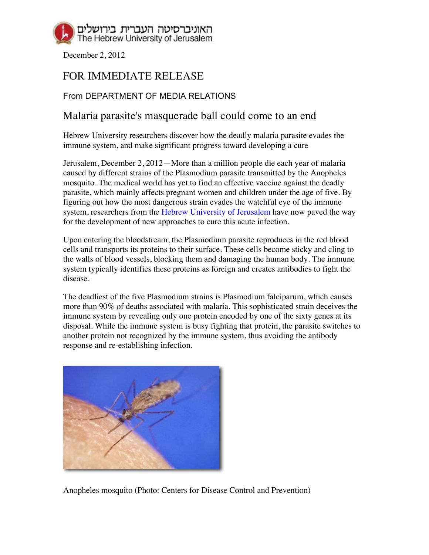

December 2, 2012

## FOR IMMEDIATE RELEASE

## From DEPARTMENT OF MEDIA RELATIONS

## Malaria parasite's masquerade ball could come to an end

Hebrew University researchers discover how the deadly malaria parasite evades the immune system, and make significant progress toward developing a cure

Jerusalem, December 2, 2012—More than a million people die each year of malaria caused by different strains of the Plasmodium parasite transmitted by the Anopheles mosquito. The medical world has yet to find an effective vaccine against the deadly parasite, which mainly affects pregnant women and children under the age of five. By figuring out how the most dangerous strain evades the watchful eye of the immune system, researchers from the Hebrew University of Jerusalem have now paved the way for the development of new approaches to cure this acute infection.

Upon entering the bloodstream, the Plasmodium parasite reproduces in the red blood cells and transports its proteins to their surface. These cells become sticky and cling to the walls of blood vessels, blocking them and damaging the human body. The immune system typically identifies these proteins as foreign and creates antibodies to fight the disease.

The deadliest of the five Plasmodium strains is Plasmodium falciparum, which causes more than 90% of deaths associated with malaria. This sophisticated strain deceives the immune system by revealing only one protein encoded by one of the sixty genes at its disposal. While the immune system is busy fighting that protein, the parasite switches to another protein not recognized by the immune system, thus avoiding the antibody response and re-establishing infection.



Anopheles mosquito (Photo: Centers for Disease Control and Prevention)